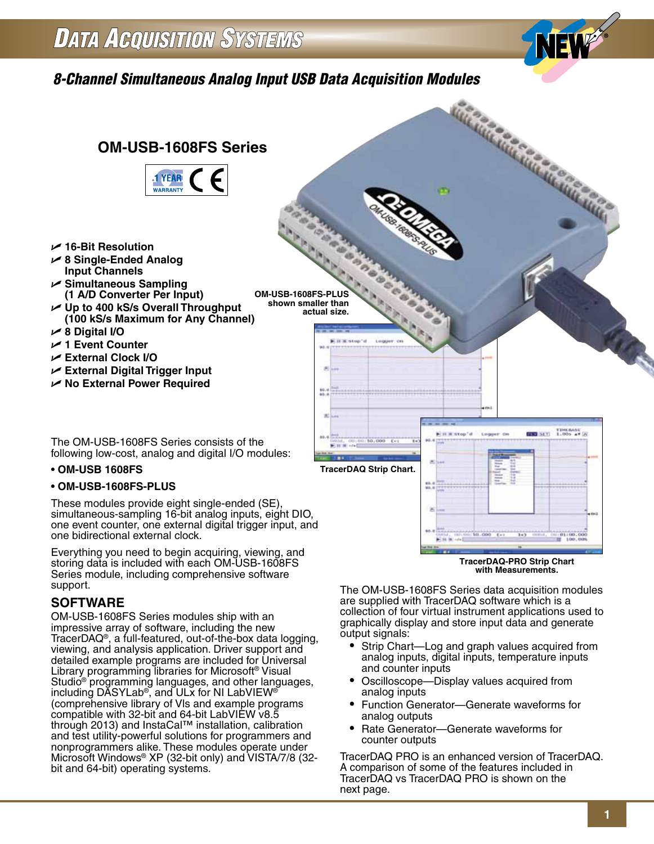# *8-Channel Simultaneous Analog Input USB Data Acquisition Modules*



simultaneous-sampling 16-bit analog inputs, eight DIO, one event counter, one external digital trigger input, and one bidirectional external clock.

Everything you need to begin acquiring, viewing, and storing data is included with each OM-USB-1608FS Series module, including comprehensive software support.

## **SOFTWARE**

OM-USB-1608FS Series modules ship with an impressive array of software, including the new TracerDAQ®, a full-featured, out-of-the-box data logging, viewing, and analysis application. Driver support and detailed example programs are included for Universal Library programming libraries for Microsoft® Visual Studio<sup>®</sup> programming languages, and other languages, including DASYLab<sup>®</sup>, and ULx for NI LabVIEW<sup>®</sup> (comprehensive library of Vls and example programs compatible with 32-bit and 64-bit LabVIEW v8.5 through 2013) and InstaCal™ installation, calibration and test utility-powerful solutions for programmers and nonprogrammers alike. These modules operate under Microsoft Windows® XP (32-bit only) and VISTA/7/8 (32 bit and 64-bit) operating systems.

The OM-USB-1608FS Series data acquisition modules are supplied with TracerDAQ software which is a collection of four virtual instrument applications used to graphically display and store input data and generate output signals:

**TracerDAQ-PRO Strip Chart with Measurements.**

- Strip Chart—Log and graph values acquired from analog inputs, digital inputs, temperature inputs and counter inputs
- Oscilloscope—Display values acquired from analog inputs
- Function Generator—Generate waveforms for analog outputs
- Rate Generator—Generate waveforms for counter outputs

TracerDAQ PRO is an enhanced version of TracerDAQ. A comparison of some of the features included in TracerDAQ vs TracerDAQ PRO is shown on the next page.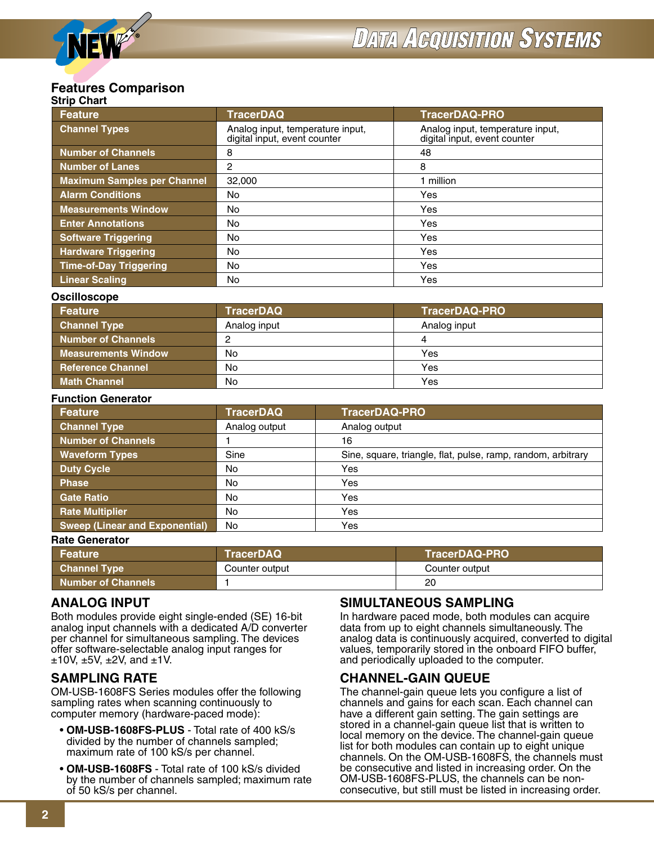#### **Strip Chart Features Comparison**

| July Ullart<br><b>Feature</b>      | <b>TracerDAQ</b>                                                 | <b>TracerDAQ-PRO</b>                                             |
|------------------------------------|------------------------------------------------------------------|------------------------------------------------------------------|
| <b>Channel Types</b>               | Analog input, temperature input,<br>digital input, event counter | Analog input, temperature input,<br>digital input, event counter |
| <b>Number of Channels</b>          | 8                                                                | 48                                                               |
| Number of Lanes                    | 2                                                                | 8                                                                |
| <b>Maximum Samples per Channel</b> | 32,000                                                           | 1 million                                                        |
| <b>Alarm Conditions</b>            | No                                                               | Yes                                                              |
| <b>Measurements Window</b>         | No                                                               | Yes                                                              |
| <b>Enter Annotations</b>           | No                                                               | Yes                                                              |
| <b>Software Triggering</b>         | No                                                               | Yes                                                              |
| <b>Hardware Triggering</b>         | No                                                               | Yes                                                              |
| <b>Time-of-Day Triggering</b>      | No                                                               | Yes                                                              |
| <b>Linear Scaling</b>              | No                                                               | Yes                                                              |

#### **Oscilloscope**

| Feature                    | <b>TracerDAQ</b> | <b>TracerDAQ-PRO</b> |
|----------------------------|------------------|----------------------|
| <b>Channel Type</b>        | Analog input     | Analog input         |
| Number of Channels         |                  |                      |
| <b>Measurements Window</b> | No               | Yes                  |
| <b>Reference Channel</b>   | No               | Yes                  |
| <b>Math Channel</b>        | No               | Yes                  |

#### **Function Generator**

| <b>Feature</b>                        | <b>TracerDAQ</b> | <b>TracerDAQ-PRO</b>                                         |
|---------------------------------------|------------------|--------------------------------------------------------------|
| <b>Channel Type</b>                   | Analog output    | Analog output                                                |
| <b>Number of Channels</b>             |                  | 16                                                           |
| <b>Waveform Types</b>                 | Sine             | Sine, square, triangle, flat, pulse, ramp, random, arbitrary |
| <b>Duty Cycle</b>                     | No               | Yes                                                          |
| <b>Phase</b>                          | No               | Yes                                                          |
| <b>Gate Ratio</b>                     | No               | Yes                                                          |
| <b>Rate Multiplier</b>                | No               | Yes                                                          |
| <b>Sweep (Linear and Exponential)</b> | No               | Yes                                                          |

#### **Rate Generator**

| Feature                     | <b>TracerDAQ</b> | TracerDAQ-PRO  |
|-----------------------------|------------------|----------------|
|                             |                  |                |
| ∣ Channel Type <sup>।</sup> | Counter output   | Counter output |
| <b>Number of Channels</b>   |                  | 20             |

### **ANALOG INPUT**

Both modules provide eight single-ended (SE) 16-bit analog input channels with a dedicated A/D converter per channel for simultaneous sampling. The devices offer software-selectable analog input ranges for  $±10V, ±5V, ±2V,$  and  $±1V.$ 

### **SAMPLING RATE**

OM-USB-1608FS Series modules offer the following sampling rates when scanning continuously to computer memory (hardware-paced mode):

- **OM-USB-1608FS-PLUS** Total rate of 400 kS/s divided by the number of channels sampled; maximum rate of 100 kS/s per channel.
- **OM-USB-1608FS** Total rate of 100 kS/s divided by the number of channels sampled; maximum rate of 50 kS/s per channel.

### **SIMULTANEOUS SAMPLING**

In hardware paced mode, both modules can acquire data from up to eight channels simultaneously. The analog data is continuously acquired, converted to digital values, temporarily stored in the onboard FIFO buffer, and periodically uploaded to the computer.

### **CHANNEL-GAIN QUEUE**

The channel-gain queue lets you configure a list of channels and gains for each scan. Each channel can have a different gain setting. The gain settings are stored in a channel-gain queue list that is written to local memory on the device. The channel-gain queue list for both modules can contain up to eight unique channels. On the OM-USB-1608FS, the channels must be consecutive and listed in increasing order. On the OM-USB-1608FS-PLUS, the channels can be nonconsecutive, but still must be listed in increasing order.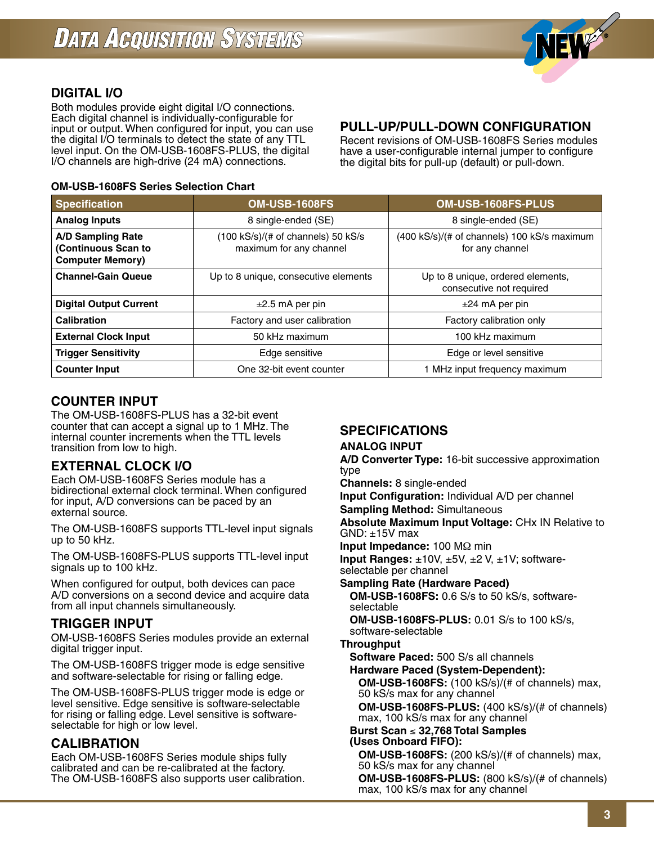

## **DIGITAL I/O**

Both modules provide eight digital I/O connections. Each digital channel is individually-configurable for input or output. When configured for input, you can use the digital I/O terminals to detect the state of any TTL level input. On the OM-USB-1608FS-PLUS, the digital I/O channels are high-drive (24 mA) connections.

### **OM-USB-1608FS Series Selection Chart**

### **PULL-UP/PULL-DOWN CONFIGURATION**

Recent revisions of OM-USB-1608FS Series modules have a user-configurable internal jumper to configure the digital bits for pull-up (default) or pull-down.

| <b>Specification</b>                                                       | <b>OM-USB-1608FS</b>                                                                                                            | OM-USB-1608FS-PLUS                                            |
|----------------------------------------------------------------------------|---------------------------------------------------------------------------------------------------------------------------------|---------------------------------------------------------------|
| <b>Analog Inputs</b>                                                       | 8 single-ended (SE)                                                                                                             | 8 single-ended (SE)                                           |
| <b>A/D Sampling Rate</b><br>(Continuous Scan to<br><b>Computer Memory)</b> | (100 kS/s)/(# of channels) 50 kS/s<br>(400 kS/s)/(# of channels) 100 kS/s maximum<br>maximum for any channel<br>for any channel |                                                               |
| <b>Channel-Gain Queue</b>                                                  | Up to 8 unique, consecutive elements                                                                                            | Up to 8 unique, ordered elements,<br>consecutive not required |
| <b>Digital Output Current</b>                                              | $±2.5$ mA per pin                                                                                                               | $±24$ mA per pin                                              |
| <b>Calibration</b>                                                         | Factory and user calibration                                                                                                    | Factory calibration only                                      |
| <b>External Clock Input</b>                                                | 50 kHz maximum                                                                                                                  | 100 kHz maximum                                               |
| <b>Trigger Sensitivity</b>                                                 | Edge sensitive                                                                                                                  | Edge or level sensitive                                       |
| <b>Counter Input</b>                                                       | One 32-bit event counter                                                                                                        | 1 MHz input frequency maximum                                 |

## **COUNTER INPUT**

The OM-USB-1608FS-PLUS has a 32-bit event counter that can accept a signal up to 1 MHz. The internal counter increments when the TTL levels transition from low to high.

## **EXTERNAL CLOCK I/O**

Each OM-USB-1608FS Series module has a bidirectional external clock terminal. When configured for input, A/D conversions can be paced by an external source.

The OM-USB-1608FS supports TTL-level input signals up to 50 kHz.

The OM-USB-1608FS-PLUS supports TTL-level input signals up to 100 kHz.

When configured for output, both devices can pace A/D conversions on a second device and acquire data from all input channels simultaneously.

### **TRIGGER INPUT**

OM-USB-1608FS Series modules provide an external digital trigger input.

The OM-USB-1608FS trigger mode is edge sensitive and software-selectable for rising or falling edge.

The OM-USB-1608FS-PLUS trigger mode is edge or level sensitive. Edge sensitive is software-selectable for rising or falling edge. Level sensitive is softwareselectable for high or low level.

### **CALIBRATION**

Each OM-USB-1608FS Series module ships fully calibrated and can be re-calibrated at the factory. The OM-USB-1608FS also supports user calibration.

## **SPECIFICATIONS**

### **ANALOG INPUT**

**A/D Converter Type:** 16-bit successive approximation type

**Channels:** 8 single-ended

**Input Configuration:** Individual A/D per channel **Sampling Method:** Simultaneous

**Absolute Maximum Input Voltage:** CHx IN Relative to  $GND: \pm 15V$  max

**Input Impedance:** 100 MΩ min

**Input Ranges:** ±10V, ±5V, ±2 V, ±1V; softwareselectable per channel

**Sampling Rate (Hardware Paced)**

 **OM-USB-1608FS:** 0.6 S/s to 50 kS/s, softwareselectable

 **OM-USB-1608FS-PLUS:** 0.01 S/s to 100 kS/s, software-selectable

### **Throughput**

**Software Paced:** 500 S/s all channels

**Hardware Paced (System-Dependent): OM-USB-1608FS:** (100 kS/s)/(# of channels) max, 50 kS/s max for any channel  **OM-USB-1608FS-PLUS:** (400 kS/s)/(# of channels) max, 100 kS/s max for any channel

 **Burst Scan** ≤ **32,768 Total Samples (Uses Onboard FIFO):**

 **OM-USB-1608FS:** (200 kS/s)/(# of channels) max, 50 kS/s max for any channel  **OM-USB-1608FS-PLUS:** (800 kS/s)/(# of channels) max, 100 kS/s max for any channel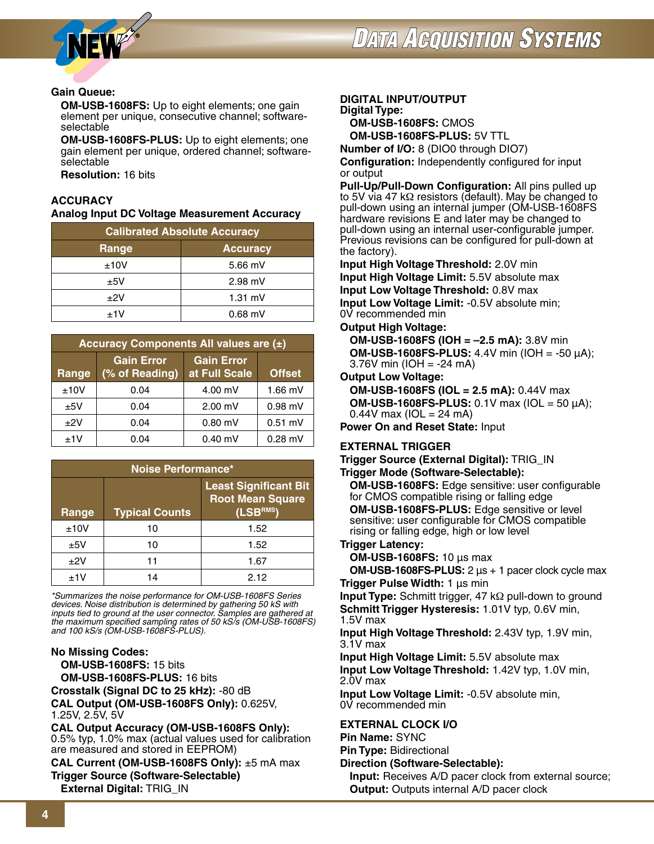



#### **Gain Queue:**

 **OM-USB-1608FS:** Up to eight elements; one gain element per unique, consecutive channel; softwareselectable

 **OM-USB-1608FS-PLUS:** Up to eight elements; one gain element per unique, ordered channel; softwareselectable

**Resolution:** 16 bits

#### **ACCURACY**

**Analog Input DC Voltage Measurement Accuracy**

| <b>Calibrated Absolute Accuracy</b> |                 |  |
|-------------------------------------|-----------------|--|
| Range                               | <b>Accuracy</b> |  |
| ±10V                                | $5.66$ mV       |  |
| ±5V                                 | $2.98$ mV       |  |
| $+2V$                               | $1.31$ mV       |  |
| $+1V$                               | $0.68$ mV       |  |

| Accuracy Components All values are $(\pm)$ |                                     |                                    |               |
|--------------------------------------------|-------------------------------------|------------------------------------|---------------|
| Range                                      | <b>Gain Error</b><br>(% of Reading) | <b>Gain Error</b><br>at Full Scale | <b>Offset</b> |
| ±10V                                       | 0.04                                | $4.00$ mV                          | $1.66$ mV     |
| ±5V                                        | 0.04                                | $2.00$ mV                          | $0.98$ mV     |
| ±2V                                        | 0.04                                | $0.80$ mV                          | $0.51$ mV     |
| ±1V                                        | 0.04                                | $0.40$ mV                          | $0.28$ mV     |

| Noise Performance* |                       |                                                                     |
|--------------------|-----------------------|---------------------------------------------------------------------|
| Range              | <b>Typical Counts</b> | <b>Least Significant Bit</b><br><b>Root Mean Square</b><br>(LSBRMS) |
| ±10V               | 10                    | 1.52                                                                |
| ±5V                | 10                    | 1.52                                                                |
| ±2V                | 11                    | 1.67                                                                |
| $+1V$              | 14                    | 2.12                                                                |

*\*Summarizes the noise performance for OM-USB-1608FS Series devices. Noise distribution is determined by gathering 50 kS with inputs tied to ground at the user connector. Samples are gathered at the maximum specified sampling rates of 50 kS/s (OM-USB-1608FS) and 100 kS/s (OM-USB-1608FS-PLUS).*

### **No Missing Codes:**

**OM-USB-1608FS:** 15 bits

**OM-USB-1608FS-PLUS:** 16 bits

**Crosstalk (Signal DC to 25 kHz):** -80 dB

**CAL Output (OM-USB-1608FS Only):** 0.625V, 1.25V, 2.5V, 5V

**CAL Output Accuracy (OM-USB-1608FS Only):** 0.5% typ, 1.0% max (actual values used for calibration are measured and stored in EEPROM)

**CAL Current (OM-USB-1608FS Only):** ±5 mA max **Trigger Source (Software-Selectable) External Digital:** TRIG\_IN

### **DIGITAL INPUT/OUTPUT Digital Type:**

**OM-USB-1608FS:** CMOS **OM-USB-1608FS-PLUS:** 5V TTL

**Number of I/O:** 8 (DIO0 through DIO7)

**Configuration:** Independently configured for input or output

**Pull-Up/Pull-Down Configuration:** All pins pulled up to 5V via 47 kΩ resistors (default). May be changed to pull-down using an internal jumper (OM-USB-1608FS hardware revisions E and later may be changed to pull-down using an internal user-configurable jumper. Previous revisions can be configured for pull-down at the factory).

**Input High Voltage Threshold:** 2.0V min **Input High Voltage Limit:** 5.5V absolute max **Input Low Voltage Threshold:** 0.8V max **Input Low Voltage Limit:** -0.5V absolute min;

0V recommended min **Output High Voltage:**

**OM-USB-1608FS (IOH = –2.5 mA):** 3.8V min  **OM-USB-1608FS-PLUS:** 4.4V min (IOH = -50 μA); 3.76V min (IOH = -24 mA)

**Output Low Voltage:**

**OM-USB-1608FS (IOL = 2.5 mA):** 0.44V max  **OM-USB-1608FS-PLUS:** 0.1V max (IOL = 50 μA); 0.44V max ( $IO = 24$  mA)

**Power On and Reset State:** Input

### **EXTERNAL TRIGGER**

**Trigger Source (External Digital):** TRIG\_IN

#### **Trigger Mode (Software-Selectable):**

 **OM-USB-1608FS:** Edge sensitive: user configurable for CMOS compatible rising or falling edge  **OM-USB-1608FS-PLUS:** Edge sensitive or level sensitive: user configurable for CMOS compatible rising or falling edge, high or low level

#### **Trigger Latency:**

**OM-USB-1608FS:** 10 μs max

**OM-USB-1608FS-PLUS:** 2 μs + 1 pacer clock cycle max **Trigger Pulse Width:** 1 μs min

**Input Type:** Schmitt trigger, 47 kΩ pull-down to ground **Schmitt Trigger Hysteresis:** 1.01V typ, 0.6V min, 1.5V max

**Input High Voltage Threshold:** 2.43V typ, 1.9V min, 3.1V max

**Input High Voltage Limit:** 5.5V absolute max **Input Low Voltage Threshold:** 1.42V typ, 1.0V min, 2.0V max

**Input Low Voltage Limit:** -0.5V absolute min, 0V recommended min

#### **EXTERNAL CLOCK I/O**

**Pin Name:** SYNC

**Pin Type:** Bidirectional

**Direction (Software-Selectable):** 

**Input:** Receives A/D pacer clock from external source; **Output:** Outputs internal A/D pacer clock